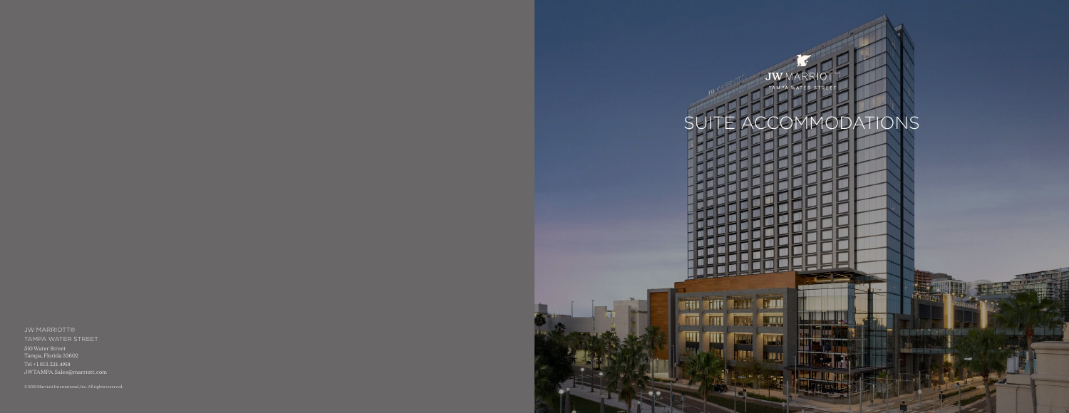

JW MARRIOTT® TAMPA WATER STREET 510 Water Street Tampa, Florida 33602 Tel +1.813.221.4950 [JWTAMPA.Sales@marriott.com](mailto:JWTAMPA.Sales@marriott.com)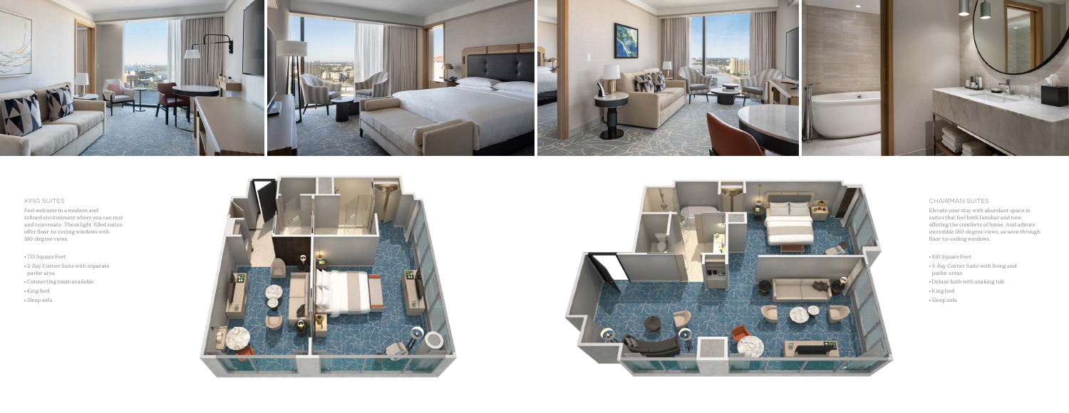

# KING SUITES

Feel welcome in a modern and refined environment where you can rest and rejuvenate. These light-filled suites offer floor-to-ceiling windows with 180-degree views.

- 715 Square Feet
- 2-Bay Corner Suite with separate parlor area
- Connecting room available
- King bed
- Sleep sofa





## CHAIRMAN SUITES

Elevate your stay with abundant space in suites that feel both familiar and new, offering the comforts of home. And admire incredible 180-degree views, as seen through floor-to-ceiling windows.

- 810 Square Feet
- 3-Bay Corner Suite with living and parlor areas
- Deluxe bath with soaking tub
- King bed
- Sleep sofa